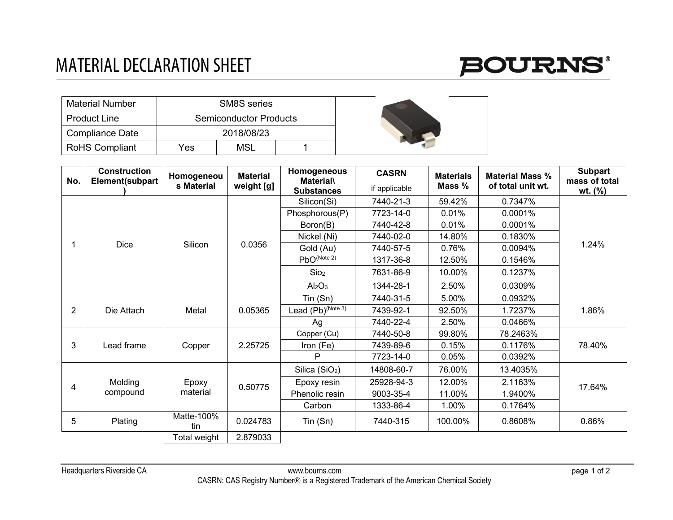## MATERIAL DECLARATION SHEET



| <b>Material Number</b> |     | SM8S series                   |  |  |
|------------------------|-----|-------------------------------|--|--|
| <b>Product Line</b>    |     | <b>Semiconductor Products</b> |  |  |
| <b>Compliance Date</b> |     | 2018/08/23                    |  |  |
| <b>RoHS Compliant</b>  | Yes | MSL                           |  |  |

| No.            | <b>Construction</b><br>Element(subpart | Homogeneou<br>s Material | <b>Material</b><br>weight [g] | Homogeneous<br><b>Material</b><br><b>Substances</b> | <b>CASRN</b><br>if applicable | <b>Materials</b><br>Mass % | <b>Material Mass %</b><br>of total unit wt. | <b>Subpart</b><br>mass of total<br>wt. (%) |
|----------------|----------------------------------------|--------------------------|-------------------------------|-----------------------------------------------------|-------------------------------|----------------------------|---------------------------------------------|--------------------------------------------|
|                | <b>Dice</b>                            | Silicon                  | 0.0356                        | Silicon(Si)                                         | 7440-21-3                     | 59.42%                     | 0.7347%                                     | 1.24%                                      |
|                |                                        |                          |                               | Phosphorous(P)                                      | 7723-14-0                     | 0.01%                      | 0.0001%                                     |                                            |
|                |                                        |                          |                               | Boron(B)                                            | 7440-42-8                     | 0.01%                      | 0.0001%                                     |                                            |
|                |                                        |                          |                               | Nickel (Ni)                                         | 7440-02-0                     | 14.80%                     | 0.1830%                                     |                                            |
|                |                                        |                          |                               | Gold (Au)                                           | 7440-57-5                     | 0.76%                      | 0.0094%                                     |                                            |
|                |                                        |                          |                               | $PbO^{(Note 2)}$                                    | 1317-36-8                     | 12.50%                     | 0.1546%                                     |                                            |
|                |                                        |                          |                               | Sio <sub>2</sub>                                    | 7631-86-9                     | 10.00%                     | 0.1237%                                     |                                            |
|                |                                        |                          |                               | Al <sub>2</sub> O <sub>3</sub>                      | 1344-28-1                     | 2.50%                      | 0.0309%                                     |                                            |
| $\overline{2}$ | Die Attach                             | Metal                    | 0.05365                       | Tin (Sn)                                            | 7440-31-5                     | 5.00%                      | 0.0932%                                     | 1.86%                                      |
|                |                                        |                          |                               | Lead $(Pb)^{(Note 3)}$                              | 7439-92-1                     | 92.50%                     | 1.7237%                                     |                                            |
|                |                                        |                          |                               | Ag                                                  | 7440-22-4                     | 2.50%                      | 0.0466%                                     |                                            |
| 3              | Lead frame                             | Copper                   | 2.25725                       | Copper (Cu)                                         | 7440-50-8                     | 99.80%                     | 78.2463%                                    | 78.40%                                     |
|                |                                        |                          |                               | Iron (Fe)                                           | 7439-89-6                     | 0.15%                      | 0.1176%                                     |                                            |
|                |                                        |                          |                               | P                                                   | 7723-14-0                     | 0.05%                      | 0.0392%                                     |                                            |
| 4              | Molding<br>compound                    | Epoxy<br>material        | 0.50775                       | Silica (SiO <sub>2</sub> )                          | 14808-60-7                    | 76.00%                     | 13.4035%                                    | 17.64%                                     |
|                |                                        |                          |                               | Epoxy resin                                         | 25928-94-3                    | 12.00%                     | 2.1163%                                     |                                            |
|                |                                        |                          |                               | Phenolic resin                                      | 9003-35-4                     | 11.00%                     | 1.9400%                                     |                                            |
|                |                                        |                          |                               | Carbon                                              | 1333-86-4                     | 1.00%                      | 0.1764%                                     |                                            |
| 5              | Plating                                | Matte-100%<br>tin        | 0.024783                      | $T$ in $(Sn)$                                       | 7440-315                      | 100.00%                    | 0.8608%                                     | 0.86%                                      |
|                |                                        | Total weight             | 2.879033                      |                                                     |                               |                            |                                             |                                            |